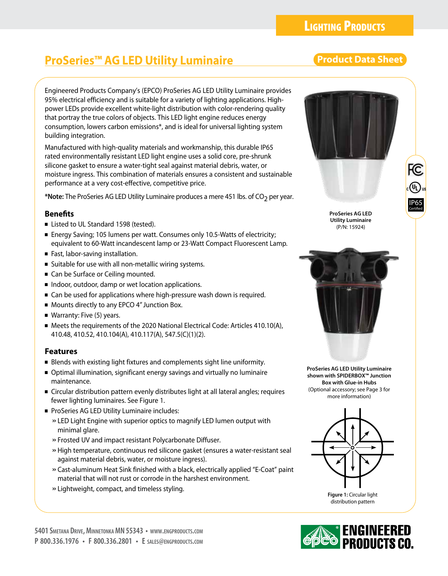# **ProSeries™ AG LED Utility Luminaire Research Product Data Sheet**

Engineered Products Company's (EPCO) ProSeries AG LED Utility Luminaire provides 95% electrical efficiency and is suitable for a variety of lighting applications. Highpower LEDs provide excellent white-light distribution with color-rendering quality that portray the true colors of objects. This LED light engine reduces energy consumption, lowers carbon emissions\*, and is ideal for universal lighting system building integration.

Manufactured with high-quality materials and workmanship, this durable IP65 rated environmentally resistant LED light engine uses a solid core, pre-shrunk silicone gasket to ensure a water-tight seal against material debris, water, or moisture ingress. This combination of materials ensures a consistent and sustainable performance at a very cost-effective, competitive price.

\*Note: The ProSeries AG LED Utility Luminaire produces a mere 451 lbs. of CO<sub>2</sub> per year.

# **Benefits**

- Listed to UL Standard 1598 (tested).
- Energy Saving; 105 lumens per watt. Consumes only 10.5-Watts of electricity; equivalent to 60-Watt incandescent lamp or 23-Watt Compact Fluorescent Lamp.
- Fast, labor-saving installation.
- Suitable for use with all non-metallic wiring systems.
- Can be Surface or Ceiling mounted.
- Indoor, outdoor, damp or wet location applications.
- Can be used for applications where high-pressure wash down is required.
- Mounts directly to any EPCO 4" Junction Box.
- Warranty: Five (5) years.
- Meets the requirements of the 2020 National Electrical Code: Articles 410.10(A), 410.48, 410.52, 410.104(A), 410.117(A), 547.5(C)(1)(2).

# **Features**

- Blends with existing light fixtures and complements sight line uniformity.
- Optimal illumination, significant energy savings and virtually no luminaire maintenance.
- Circular distribution pattern evenly distributes light at all lateral angles; requires fewer lighting luminaires. See Figure 1.
- ProSeries AG LED Utility Luminaire includes:
	- »LED Light Engine with superior optics to magnify LED lumen output with minimal glare.
	- »Frosted UV and impact resistant Polycarbonate Diffuser.
	- »High temperature, continuous red silicone gasket (ensures a water-resistant seal against material debris, water, or moisture ingress).
	- »Cast-aluminum Heat Sink finished with a black, electrically applied "E-Coat" paint material that will not rust or corrode in the harshest environment.
	- »Lightweight, compact, and timeless styling.





**ProSeries AG LED Utility Luminaire**  (P/N: 15924)



**ProSeries AG LED Utility Luminaire shown with SPIDERBOX™ Junction Box with Glue-in Hubs** (Optional accessory; see Page 3 for more information)



**Figure 1:** Circular light distribution pattern

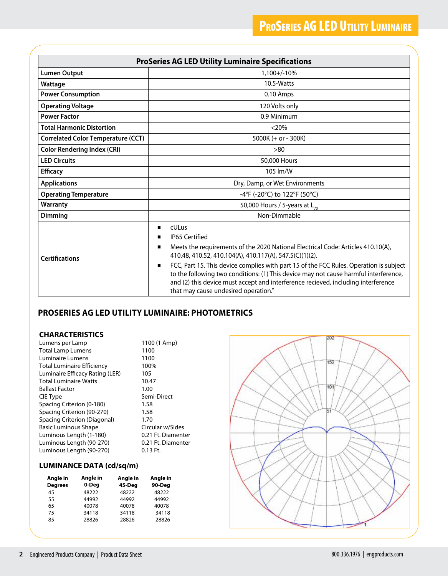| <b>ProSeries AG LED Utility Luminaire Specifications</b> |                                                                                                                                                                                                                                                                                                                                                                                                                                                                                                                  |  |  |  |  |
|----------------------------------------------------------|------------------------------------------------------------------------------------------------------------------------------------------------------------------------------------------------------------------------------------------------------------------------------------------------------------------------------------------------------------------------------------------------------------------------------------------------------------------------------------------------------------------|--|--|--|--|
| <b>Lumen Output</b>                                      | 1,100+/-10%                                                                                                                                                                                                                                                                                                                                                                                                                                                                                                      |  |  |  |  |
| Wattage                                                  | 10.5-Watts                                                                                                                                                                                                                                                                                                                                                                                                                                                                                                       |  |  |  |  |
| <b>Power Consumption</b>                                 | 0.10 Amps                                                                                                                                                                                                                                                                                                                                                                                                                                                                                                        |  |  |  |  |
| <b>Operating Voltage</b>                                 | 120 Volts only                                                                                                                                                                                                                                                                                                                                                                                                                                                                                                   |  |  |  |  |
| <b>Power Factor</b>                                      | 0.9 Minimum                                                                                                                                                                                                                                                                                                                                                                                                                                                                                                      |  |  |  |  |
| <b>Total Harmonic Distortion</b>                         | $<$ 20%                                                                                                                                                                                                                                                                                                                                                                                                                                                                                                          |  |  |  |  |
| <b>Correlated Color Temperature (CCT)</b>                | 5000K $(+ or - 300K)$                                                                                                                                                                                                                                                                                                                                                                                                                                                                                            |  |  |  |  |
| <b>Color Rendering Index (CRI)</b>                       | >80                                                                                                                                                                                                                                                                                                                                                                                                                                                                                                              |  |  |  |  |
| <b>LED Circuits</b>                                      | 50,000 Hours                                                                                                                                                                                                                                                                                                                                                                                                                                                                                                     |  |  |  |  |
| <b>Efficacy</b>                                          | 105 lm/W                                                                                                                                                                                                                                                                                                                                                                                                                                                                                                         |  |  |  |  |
| <b>Applications</b>                                      | Dry, Damp, or Wet Environments                                                                                                                                                                                                                                                                                                                                                                                                                                                                                   |  |  |  |  |
| <b>Operating Temperature</b>                             | -4°F (-20°C) to 122°F (50°C)                                                                                                                                                                                                                                                                                                                                                                                                                                                                                     |  |  |  |  |
| Warranty                                                 | 50,000 Hours / 5-years at $L_{70}$                                                                                                                                                                                                                                                                                                                                                                                                                                                                               |  |  |  |  |
| <b>Dimming</b>                                           | Non-Dimmable                                                                                                                                                                                                                                                                                                                                                                                                                                                                                                     |  |  |  |  |
| <b>Certifications</b>                                    | cULus<br>п<br><b>IP65 Certified</b><br>п<br>Meets the requirements of the 2020 National Electrical Code: Articles 410.10(A),<br>п<br>410.48, 410.52, 410.104(A), 410.117(A), 547.5(C)(1)(2).<br>FCC, Part 15. This device complies with part 15 of the FCC Rules. Operation is subject<br>п<br>to the following two conditions: (1) This device may not cause harmful interference,<br>and (2) this device must accept and interference recieved, including interference<br>that may cause undesired operation." |  |  |  |  |

# **PROSERIES AG LED UTILITY LUMINAIRE: PHOTOMETRICS**

### **CHARACTERISTICS**

| Lumens per Lamp                   | 1100 (1 Amp)       |
|-----------------------------------|--------------------|
| <b>Total Lamp Lumens</b>          | 1100               |
| Luminaire Lumens                  | 1100               |
| <b>Total Luminaire Efficiency</b> | 100%               |
| Luminaire Efficacy Rating (LER)   | 105                |
| <b>Total Luminaire Watts</b>      | 10.47              |
| <b>Ballast Factor</b>             | 1.00               |
| CIE Type                          | Semi-Direct        |
| Spacing Criterion (0-180)         | 1.58               |
| Spacing Criterion (90-270)        | 1.58               |
| Spacing Criterion (Diagonal)      | 1.70               |
| <b>Basic Luminous Shape</b>       | Circular w/Sides   |
| Luminous Length (1-180)           | 0.21 Ft. Diamenter |
| Luminous Length (90-270)          | 0.21 Ft. Diamenter |
| Luminous Length (90-270)          | $0.13$ Ft.         |

# **LUMINANCE DATA (cd/sq/m)**

| Angle in<br><b>Degrees</b> | Angle in<br>0-Deg | Angle in<br>45-Deg | Angle in<br>90-Deg |
|----------------------------|-------------------|--------------------|--------------------|
| 45                         | 48222             | 48222              | 48222              |
| 55                         | 44992             | 44992              | 44992              |
| 65                         | 40078             | 40078              | 40078              |
| 75                         | 34118             | 34118              | 34118              |
| 85                         | 28826             | 28826              | 28826              |

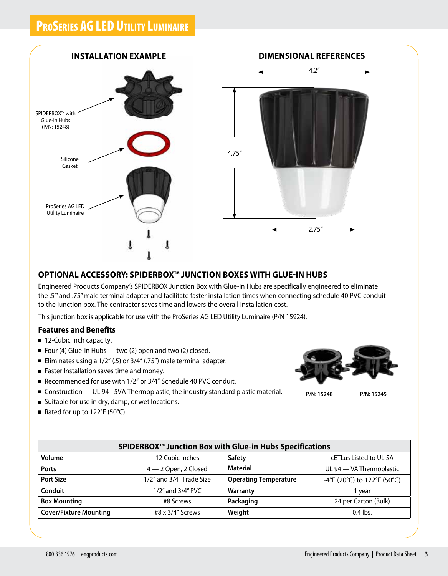# PROSERIES AG LED UTILITY LUMINAIRE



# **OPTIONAL ACCESSORY: SPIDERBOX™ JUNCTION BOXES WITH GLUE-IN HUBS**

Engineered Products Company's SPIDERBOX Junction Box with Glue-in Hubs are specifically engineered to eliminate the .5'" and .75" male terminal adapter and facilitate faster installation times when connecting schedule 40 PVC conduit to the junction box. The contractor saves time and lowers the overall installation cost.

This junction box is applicable for use with the ProSeries AG LED Utility Luminaire (P/N 15924).

### **Features and Benefits**

- 12-Cubic Inch capacity.
- Four (4) Glue-in Hubs two (2) open and two (2) closed.
- Eliminates using a  $1/2$ " (.5) or  $3/4$ " (.75") male terminal adapter.
- Faster Installation saves time and money.
- Recommended for use with 1/2" or 3/4" Schedule 40 PVC conduit.
- Construction UL 94 5VA Thermoplastic, the industry standard plastic material.
- Suitable for use in dry, damp, or wet locations.
- Rated for up to 122°F (50°C).

**P/N: 15248**

**P/N: 15245**

| SPIDERBOX <sup>™</sup> Junction Box with Glue-in Hubs Specifications |                          |                              |                             |  |  |
|----------------------------------------------------------------------|--------------------------|------------------------------|-----------------------------|--|--|
| Volume                                                               | 12 Cubic Inches          | <b>Safety</b>                | cETLus Listed to UL 5A      |  |  |
| <b>Ports</b>                                                         | $4 - 2$ Open, 2 Closed   | <b>Material</b>              | UL 94 - VA Thermoplastic    |  |  |
| <b>Port Size</b>                                                     | 1/2" and 3/4" Trade Size | <b>Operating Temperature</b> | -4°F (20°C) to 122°F (50°C) |  |  |
| Conduit                                                              | 1/2" and 3/4" PVC        | Warranty                     | vear                        |  |  |
| <b>Box Mounting</b>                                                  | #8 Screws                | Packaging                    | 24 per Carton (Bulk)        |  |  |
| <b>Cover/Fixture Mounting</b>                                        | #8 x 3/4" Screws         | Weight                       | $0.4$ lbs.                  |  |  |